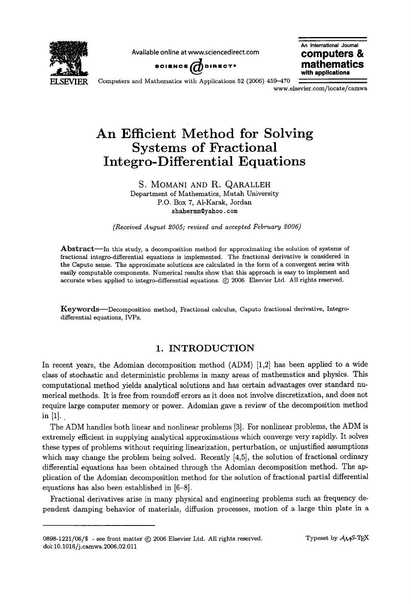

**Available online at www.sciencedirect.com computers &** 



**An Intemational Joumal with applications** 

Computers and Mathematics with Applications 52 (2006) 459-470

www.elsevier.com/locate/camwa

# **An Efficient Method for Solving Systems of Fractional Integro-Differential Equations**

S. MOMANI AND R. QARALLEH Department of Mathematics, Mutah University P.O. Box 7, A1-Karak, Jordan shahermm©yahoo, **com** 

*(Received August 2005; revised and accepted February 2006)* 

Abstract---In this study, a decomposition method for approximating the solution of systems of fractional integro-differential equations is implemented. The fractional derivative is considered in **the** Caputo sense. The approximate solutions are calculated in the form of a convergent series with easily computable components. Numerical results show that this approach is easy to implement and accurate when applied to integro-differential equations. (c) 2006 Elsevier Ltd. All rights reserved.

Keywords--Decomposition method, Fractional calculus, Caputo fractional derivative, Integrodifferential equations, IVPs.

## 1. INTRODUCTION

In recent years, the Adomian decomposition method (ADM) [1,2] has been applied to a wide class of stochastic and deterministic problems in many areas of mathematics and physics. This computational method yields analytical solutions and has certain advantages over standard numerical methods. It is free from roundoff errors as it does not involve discretization, and does not require large computer memory or power. Adomian gave a review of the decomposition method in  $[1]$ .

The ADM handles both linear and nonlinear problems [3]. For nonlinear problems, the ADM is extremely efficient in supplying analytical approximations which converge very rapidly. It solves these types of problems without requiring linearization, perturbation, or unjustified assumptions which may change the problem being solved. Recently [4,5], the solution of fractional ordinary differential equations has been obtained through the Adomian decomposition method. The application of the Adomian decomposition method for the solution of fractional partial differential equations has also been established in [6-8].

Fractional derivatives arise in many physical and engineering problems such as frequency dependent damping behavior of materials, diffusion processes, motion of a large thin plate in a

 $0898-1221/06/\$  - see front matter  $\odot$  2006 Elsevier Ltd. All rights reserved. doi:10.1016/j.camwa.2006.02.011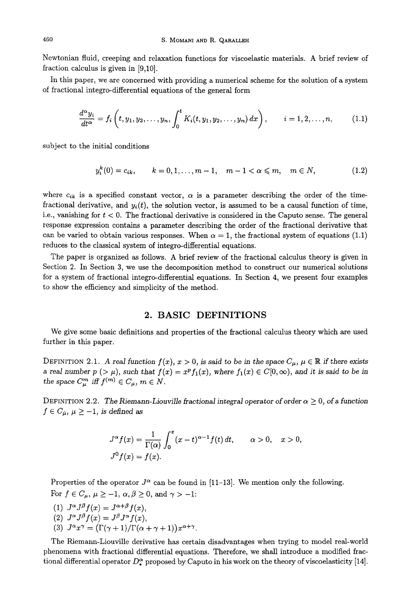Newtonian fluid, creeping and relaxation functions for viscoelastic materials. A brief review of fraction calculus is given in [9,10].

In this paper, we are concerned with providing a numerical scheme for the solution of a system of fractional integro-differential equations of the general form

$$
\frac{d^{\alpha}y_i}{dt^{\alpha}} = f_i\left(t, y_1, y_2, \dots, y_n, \int_0^t K_i(t, y_1, y_2, \dots, y_n) dx\right), \qquad i = 1, 2, \dots, n,
$$
 (1.1)

subject to the initial conditions

$$
y_i^k(0) = c_{ik}, \qquad k = 0, 1, \dots, m - 1, \quad m - 1 < \alpha \leq m, \quad m \in N,\tag{1.2}
$$

where  $c_{ik}$  is a specified constant vector,  $\alpha$  is a parameter describing the order of the timefractional derivative, and  $y_i(t)$ , the solution vector, is assumed to be a causal function of time, i.e., vanishing for  $t < 0$ . The fractional derivative is considered in the Caputo sense. The general response expression contains a parameter describing the order of the fractional derivative that can be varied to obtain various responses. When  $\alpha = 1$ , the fractional system of equations (1.1) reduces to the classical system of integro-differential equations.

The paper is organized as follows. A brief review of the fractional calculus theory is given in Section 2. In Section 3, we use the decomposition method to construct our numerical solutions for a system of fractional integro-differential equations. In Section 4, we present four examples to show the efficiency and simplicity of the method.

### **2. BASIC DEFINITIONS**

We give some basic definitions and properties of the fractional calculus theory which are used further in this paper.

DEFINITION 2.1. A real function  $f(x)$ ,  $x > 0$ , is said to be in the space  $C_{\mu}$ ,  $\mu \in \mathbb{R}$  if there exists a real number  $p > \mu$ , such that  $f(x) = x^p f_1(x)$ , where  $f_1(x) \in C[0,\infty)$ , and it is said to be in *the space*  $C_{\mu}^{m}$  *iff*  $f^{(m)} \in C_{\mu}$ *,*  $m \in N$ *.* 

DEFINITION 2.2. The Riemann-Liouville fractional integral operator of order  $\alpha \geq 0$ , of a function  $f \in C_{\mu}$ ,  $\mu \ge -1$ , is defined as

$$
J^{\alpha}f(x) = \frac{1}{\Gamma(\alpha)} \int_0^x (x - t)^{\alpha - 1} f(t) dt, \qquad \alpha > 0, \quad x > 0,
$$
  

$$
J^0 f(x) = f(x).
$$

Properties of the operator  $J^{\alpha}$  can be found in [11-13]. We mention only the following. For  $f \in C_{\mu}$ ,  $\mu \ge -1$ ,  $\alpha, \beta \ge 0$ , and  $\gamma > -1$ :

- (1)  $J^{\alpha}J^{\beta}f(x) = J^{\alpha+\beta}f(x)$ , (2)  $J^{\alpha}J^{\beta}f(x) = J^{\beta}J^{\alpha}f(x)$ ,
- (3)  $J^{\alpha}x^{\gamma} = (\Gamma(\gamma + 1)/\Gamma(\alpha + \gamma + 1))x^{\alpha + \gamma}$ .

The Riemann-Liouville derivative has certain disadvantages when trying to model real-world phenomena with fractional differential equations. Therefore, we shall introduce a modified fractional differential operator  $D_{\star}^{\alpha}$  proposed by Caputo in his work on the theory of viscoelasticity [14].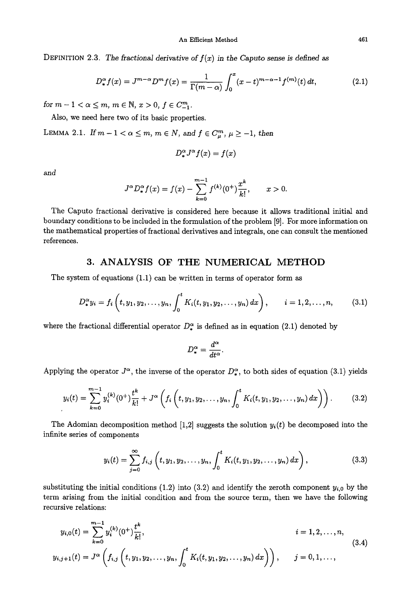DEFINITION 2.3. The fractional derivative of  $f(x)$  in the Caputo sense is defined as

$$
D_{*}^{\alpha} f(x) = J^{m-\alpha} D^{m} f(x) = \frac{1}{\Gamma(m-\alpha)} \int_{0}^{x} (x-t)^{m-\alpha-1} f^{(m)}(t) dt,
$$
 (2.1)

*for*  $m-1 < \alpha \leq m$ ,  $m \in \mathbb{N}$ ,  $x > 0$ ,  $f \in C_{-1}^{m}$ .

Also, we need here two of its basic properties.

LEMMA 2.1. If  $m-1 < \alpha \le m$ ,  $m \in N$ , and  $f \in C^m_\mu$ ,  $\mu \ge -1$ , then

$$
D_{\ast}^{\alpha}J^{\alpha}f(x) = f(x)
$$

and

$$
J^{\alpha}D^{\alpha}_{*}f(x) = f(x) - \sum_{k=0}^{m-1} f^{(k)}(0^{+}) \frac{x^{k}}{k!}, \qquad x > 0.
$$

The Caputo fractional derivative is considered here because it allows traditional initial and boundary conditions to be included in the formulation of the problem [9]. For more information on the mathematical properties of fractional derivatives and integrals, one can consult the mentioned references.

# 3. ANALYSIS OF THE NUMERICAL METHOD

The system of equations (1.1) can be written in terms of operator form as

$$
D_{\ast}^{\alpha} y_i = f_i \left( t, y_1, y_2, \dots, y_n, \int_0^t K_i(t, y_1, y_2, \dots, y_n) \, dx \right), \qquad i = 1, 2, \dots, n, \tag{3.1}
$$

where the fractional differential operator  $D_{\ast}^{\alpha}$  is defined as in equation (2.1) denoted by

$$
D_*^{\alpha} = \frac{d^{\alpha}}{dt^{\alpha}}.
$$

Applying the operator  $J^{\alpha}$ , the inverse of the operator  $D^{\alpha}_{\alpha}$ , to both sides of equation (3.1) yields

$$
y_i(t) = \sum_{k=0}^{m-1} y_i^{(k)}(0^+) \frac{t^k}{k!} + J^{\alpha} \left( f_i \left( t, y_1, y_2, \dots, y_n, \int_0^t K_i(t, y_1, y_2, \dots, y_n) dx \right) \right). \tag{3.2}
$$

The Adomian decomposition method [1,2] suggests the solution  $y_i(t)$  be decomposed into the infinite series of components

$$
y_i(t) = \sum_{j=0}^{\infty} f_{i,j} \left( t, y_1, y_2, \dots, y_n, \int_0^t K_i(t, y_1, y_2, \dots, y_n) dx \right), \qquad (3.3)
$$

substituting the initial conditions (1.2) into (3.2) and identify the zeroth component  $y_{i,0}$  by the term arising from the initial condition and from the source term, then we have the following recursive relations:

$$
y_{i,0}(t) = \sum_{k=0}^{m-1} y_i^{(k)}(0^+) \frac{t^k}{k!},
$$
  
\n
$$
y_{i,j+1}(t) = J^{\alpha} \left( f_{i,j} \left( t, y_1, y_2, \dots, y_n, \int_0^t K_i(t, y_1, y_2, \dots, y_n) dx \right) \right), \qquad j = 0, 1, \dots,
$$
\n
$$
(3.4)
$$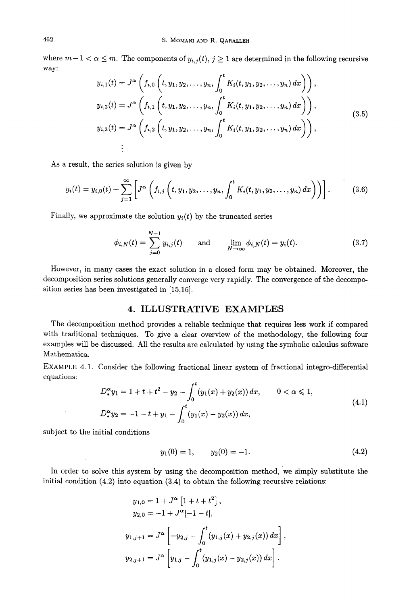where  $m-1 < \alpha \leq m$ . The components of  $y_{i,j}(t)$ ,  $j \geq 1$  are determined in the following recursive way:

$$
y_{i,1}(t) = J^{\alpha} \left( f_{i,0} \left( t, y_1, y_2, \ldots, y_n, \int_0^t K_i(t, y_1, y_2, \ldots, y_n) dx \right) \right),
$$
  
\n
$$
y_{i,2}(t) = J^{\alpha} \left( f_{i,1} \left( t, y_1, y_2, \ldots, y_n, \int_0^t K_i(t, y_1, y_2, \ldots, y_n) dx \right) \right),
$$
  
\n
$$
y_{i,3}(t) = J^{\alpha} \left( f_{i,2} \left( t, y_1, y_2, \ldots, y_n, \int_0^t K_i(t, y_1, y_2, \ldots, y_n) dx \right) \right),
$$
  
\n
$$
\vdots
$$
\n(3.5)

As a result, the series solution is given by

$$
y_i(t) = y_{i,0}(t) + \sum_{j=1}^{\infty} \left[ J^{\alpha} \left( f_{i,j} \left( t, y_1, y_2, \dots, y_n, \int_0^t K_i(t, y_1, y_2, \dots, y_n) \, dx \right) \right) \right]. \tag{3.6}
$$

Finally, we approximate the solution  $y_i(t)$  by the truncated series

$$
\phi_{i,N}(t) = \sum_{j=0}^{N-1} y_{i,j}(t) \quad \text{and} \quad \lim_{N \to \infty} \phi_{i,N}(t) = y_i(t). \tag{3.7}
$$

However, in many cases the exact solution in a closed form may be obtained. Moreover, the decomposition series solutions generally converge very rapidly. The convergence of the decomposition series has been investigated in [15,16].

# **4. ILLUSTRATIVE EXAMPLES**

The decomposition method provides a reliable technique that requires less work if compared with traditional techniques. To give a clear overview of the methodology, the following four examples will be discussed. All the results are calculated by using the symbolic calculus software Mathematica.

EXAMPLE 4.1. Consider the following fractional linear system of fractional integro-differential equations:

$$
D_{*}^{\alpha}y_{1} = 1 + t + t^{2} - y_{2} - \int_{0}^{t} (y_{1}(x) + y_{2}(x)) dx, \qquad 0 < \alpha \leq 1,
$$
  

$$
D_{*}^{\alpha}y_{2} = -1 - t + y_{1} - \int_{0}^{t} (y_{1}(x) - y_{2}(x)) dx,
$$
 (4.1)

subject to the initial conditions

$$
y_1(0) = 1, \t y_2(0) = -1. \t (4.2)
$$

In order to solve this system by using the decomposition method, we simply substitute the initial condition (4.2) into equation (3.4) to obtain the following recursive relations:

$$
y_{1,0} = 1 + J^{\alpha} [1 + t + t^{2}],
$$
  
\n
$$
y_{2,0} = -1 + J^{\alpha} [-1 - t],
$$
  
\n
$$
y_{1,j+1} = J^{\alpha} \left[ -y_{2,j} - \int_{0}^{t} (y_{1,j}(x) + y_{2,j}(x)) dx \right],
$$
  
\n
$$
y_{2,j+1} = J^{\alpha} \left[ y_{1,j} - \int_{0}^{t} (y_{1,j}(x) - y_{2,j}(x)) dx \right].
$$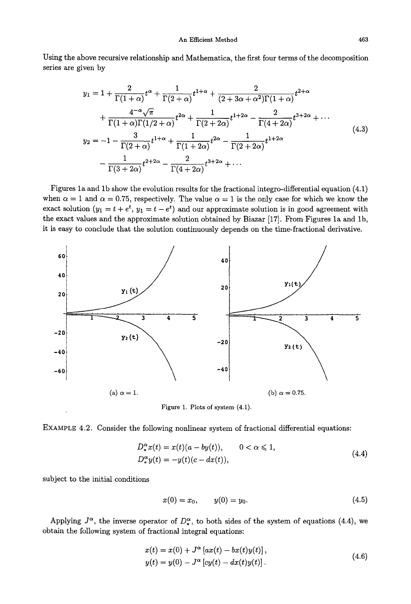Using the above recursive relationship and Mathematica, the first four terms of the decomposition series are given by

$$
y_{1} = 1 + \frac{2}{\Gamma(1+\alpha)}t^{\alpha} + \frac{1}{\Gamma(2+\alpha)}t^{1+\alpha} + \frac{2}{(2+3\alpha+\alpha^{2})\Gamma(1+\alpha)}t^{2+\alpha} + \frac{4^{-\alpha}\sqrt{\pi}}{\Gamma(1+\alpha)\Gamma(1/2+\alpha)}t^{2\alpha} + \frac{1}{\Gamma(2+2\alpha)}t^{1+2\alpha} - \frac{2}{\Gamma(4+2\alpha)}t^{3+2\alpha} + \cdots y_{2} = -1 - \frac{3}{\Gamma(2+\alpha)}t^{1+\alpha} + \frac{1}{\Gamma(1+2\alpha)}t^{2\alpha} - \frac{1}{\Gamma(2+2\alpha)}t^{1+2\alpha} - \frac{1}{\Gamma(3+2\alpha)}t^{2+2\alpha} - \frac{2}{\Gamma(4+2\alpha)}t^{3+2\alpha} + \cdots
$$
\n(4.3)

Figures la and lb show the evolution results for the fractional integro-differential equation (4.1) when  $\alpha = 1$  and  $\alpha = 0.75$ , respectively. The value  $\alpha = 1$  is the only case for which we know the exact solution  $(y_1 = t + e^t, y_1 = t - e^t)$  and our approximate solution is in good agreement with the exact values and the approximate solution obtained by Biazar [17]. From Figures la and lb, it is easy to conclude that the solution continuously depends on the time-fractional derivative.



Figure 1. Plots of system (4.1).

EXAMPLE 4.2. Consider the following nonlinear system of fractional differential equations:

$$
D_{\ast}^{\alpha}x(t) = x(t)(a - by(t)), \qquad 0 < \alpha \leq 1,
$$
  
\n
$$
D_{\ast}^{\alpha}y(t) = -y(t)(c - dx(t)), \qquad (4.4)
$$

subject to the initial conditions

$$
x(0) = x_0, \qquad y(0) = y_0. \tag{4.5}
$$

Applying  $J^{\alpha}$ , the inverse operator of  $D^{\alpha}_{*}$ , to both sides of the system of equations (4.4), we obtain the following system of fractional integral equations:

$$
x(t) = x(0) + J^{\alpha} [ax(t) - bx(t)y(t)],
$$
  
\n
$$
y(t) = y(0) - J^{\alpha} [cy(t) - dx(t)y(t)].
$$
\n(4.6)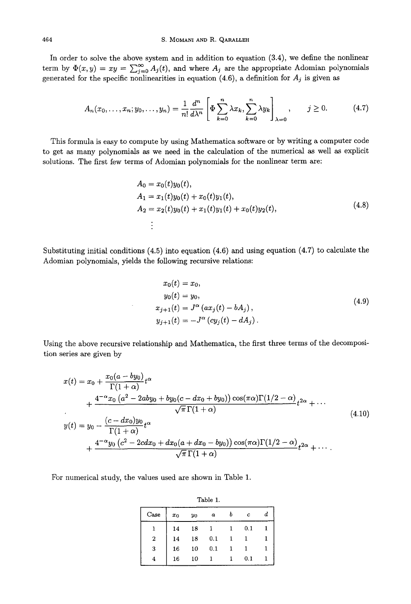In order to solve the above system and in addition to equation (3.4), we define the nonlinear term by  $\Phi(x,y) = xy = \sum_{i=0}^{\infty} A_i(t)$ , and where  $A_i$  are the appropriate Adomian polynomials generated for the specific nonlinearities in equation  $(4.6)$ , a definition for  $A_j$  is given as

$$
A_n(x_0,\ldots,x_n;y_0,\ldots,y_n)=\frac{1}{n!}\frac{d^n}{d\lambda^n}\left[\Phi\sum_{k=0}^n\lambda x_k,\sum_{k=0}^n\lambda y_k\right]_{\lambda=0},\qquad j\geq 0. \tag{4.7}
$$

This formula is easy to compute by using Mathematica software or by writing a computer code to get as many polynomials as we need in the calculation of the numerical as well as explicit solutions. The first few terms of Adomian polynomials for the nonlinear term are:

$$
A_0 = x_0(t)y_0(t),
$$
  
\n
$$
A_1 = x_1(t)y_0(t) + x_0(t)y_1(t),
$$
  
\n
$$
A_2 = x_2(t)y_0(t) + x_1(t)y_1(t) + x_0(t)y_2(t),
$$
\n(4.8)

Substituting initial conditions  $(4.5)$  into equation  $(4.6)$  and using equation  $(4.7)$  to calculate the Adomian polynomials, yields the following recursive relations:

$$
x_0(t) = x_0,
$$
  
\n
$$
y_0(t) = y_0,
$$
  
\n
$$
x_{j+1}(t) = J^{\alpha} (ax_j(t) - bA_j),
$$
  
\n
$$
y_{j+1}(t) = -J^{\alpha} (cy_j(t) - dA_j).
$$
\n(4.9)

Using the above recursive relationship and Mathematica, the first three terms of the decomposition series are given by

$$
x(t) = x_0 + \frac{x_0(a - by_0)}{\Gamma(1 + \alpha)} t^{\alpha}
$$
  
+ 
$$
\frac{4^{-\alpha}x_0 (a^2 - 2aby_0 + by_0(c - dx_0 + by_0)) \cos(\pi \alpha) \Gamma(1/2 - \alpha)}{\sqrt{\pi} \Gamma(1 + \alpha)} t^{\alpha} + \cdots
$$
  

$$
y(t) = y_0 - \frac{(c - dx_0)y_0}{\Gamma(1 + \alpha)} t^{\alpha}
$$
  
+ 
$$
\frac{4^{-\alpha}y_0 (c^2 - 2cdx_0 + dx_0(a + dx_0 - by_0)) \cos(\pi \alpha) \Gamma(1/2 - \alpha)}{\sqrt{\pi} \Gamma(1 + \alpha)} t^{2\alpha} + \cdots
$$
 (4.10)

For numerical study, the values used are shown in Table 1.

| Table 1.   |       |    |   |  |   |  |
|------------|-------|----|---|--|---|--|
| $\rm Case$ | $x_0$ | yo | a |  | c |  |
|            | 14    | 18 |   |  |   |  |

2 14 18 0.1 1 1 3 16 10 0.1 1 1 4 16 10 1 1 0.1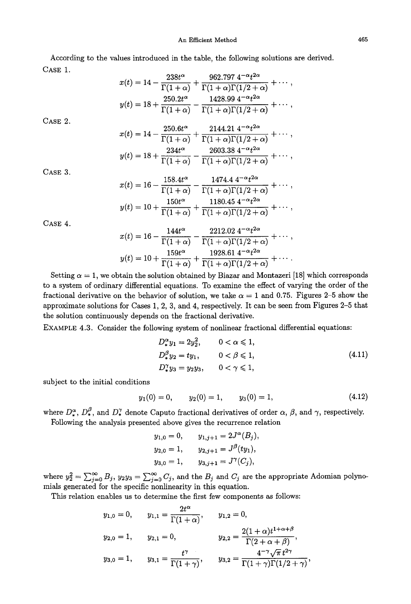According to the values introduced in the table, the following solutions are derived. CASE 1.

$$
x(t) = 14 - \frac{238t^{\alpha}}{\Gamma(1+\alpha)} + \frac{962.797 \, 4^{-\alpha}t^{2\alpha}}{\Gamma(1+\alpha)\Gamma(1/2+\alpha)} + \cdots,
$$
  

$$
y(t) = 18 + \frac{250.2t^{\alpha}}{\Gamma(1+\alpha)} - \frac{1428.99 \, 4^{-\alpha}t^{2\alpha}}{\Gamma(1+\alpha)\Gamma(1/2+\alpha)} + \cdots,
$$

CASE 2.

$$
x(t) = 14 - \frac{250.6t^{\alpha}}{\Gamma(1+\alpha)} + \frac{2144.21 \ 4^{-\alpha}t^{2\alpha}}{\Gamma(1+\alpha)\Gamma(1/2+\alpha)} + \cdots,
$$
  

$$
y(t) = 18 + \frac{234t^{\alpha}}{\Gamma(1+\alpha)} - \frac{2603.38 \ 4^{-\alpha}t^{2\alpha}}{\Gamma(1+\alpha)\Gamma(1/2+\alpha)} + \cdots,
$$

CASE 3.

$$
x(t) = 16 - \frac{158.4t^{\alpha}}{\Gamma(1+\alpha)} - \frac{1474.4 \, 4^{-\alpha}t^{2\alpha}}{\Gamma(1+\alpha)\Gamma(1/2+\alpha)} + \cdots,
$$
  
\n
$$
y(t) = 10 + \frac{150t^{\alpha}}{\Gamma(1+\alpha)} + \frac{1180.45 \, 4^{-\alpha}t^{2\alpha}}{\Gamma(1+\alpha)\Gamma(1/2+\alpha)} + \cdots,
$$

CASE 4.

$$
x(t) = 16 - \frac{144t^{\alpha}}{\Gamma(1+\alpha)} - \frac{2212.02 \, 4^{-\alpha} t^{2\alpha}}{\Gamma(1+\alpha)\Gamma(1/2+\alpha)} + \cdots,
$$
  
\n
$$
y(t) = 10 + \frac{159t^{\alpha}}{\Gamma(1+\alpha)} + \frac{1928.61 \, 4^{-\alpha} t^{2\alpha}}{\Gamma(1+\alpha)\Gamma(1/2+\alpha)} + \cdots.
$$

Setting  $\alpha = 1$ , we obtain the solution obtained by Biazar and Montazeri [18] which corresponds to a system of ordinary differential equations. To examine the effect of varying the order of the fractional derivative on the behavior of solution, we take  $\alpha = 1$  and 0.75. Figures 2-5 show the approximate solutions for Cases 1, 2, 3, and 4, respectively. It can be seen from Figures 2-5 that the solution continuously depends on the fractional derivative.

EXAMPLE 4.3. Consider the following system of nonlinear fractional differential equations:

$$
D_{*}^{\alpha} y_{1} = 2y_{2}^{2}, \qquad 0 < \alpha \leq 1,
$$
  
\n
$$
D_{*}^{\beta} y_{2} = ty_{1}, \qquad 0 < \beta \leq 1,
$$
  
\n
$$
D_{*}^{\gamma} y_{3} = y_{2}y_{3}, \qquad 0 < \gamma \leq 1,
$$
  
\n(4.11)

subject to the initial conditions

$$
y_1(0) = 0,
$$
  $y_2(0) = 1,$   $y_3(0) = 1,$  (4.12)

where  $D_*^{\alpha}$ ,  $D_*^{\beta}$ , and  $D_*^{\gamma}$  denote Caputo fractional derivatives of order  $\alpha$ ,  $\beta$ , and  $\gamma$ , respectively. Following the analysis presented above gives the recurrence relation

$$
y_{1,0} = 0,
$$
  $y_{1,j+1} = 2J^{\alpha}(B_j),$   
 $y_{2,0} = 1,$   $y_{2,j+1} = J^{\beta}(ty_1),$ 

$$
y_{3,0} = 1,
$$
  $y_{3,j+1} = J^{\gamma}(C_j),$ 

where  $y_2^2 = \sum_{i=0}^{\infty} B_i$ ,  $y_2y_3 = \sum_{i=0}^{\infty} C_i$ , and the  $B_i$  and  $C_i$  are the appropriate Adomian polynomials generated for the specific nonlinearity in this equation.

This relation enables us to determine the first few components as follows:

$$
y_{1,0} = 0, \t y_{1,1} = \frac{2t^{\alpha}}{\Gamma(1+\alpha)}, \t y_{1,2} = 0,
$$
  

$$
y_{2,0} = 1, \t y_{2,1} = 0, \t y_{2,2} = \frac{2(1+\alpha)t^{1+\alpha+\beta}}{\Gamma(2+\alpha+\beta)},
$$
  

$$
y_{3,0} = 1, \t y_{3,1} = \frac{t^{\gamma}}{\Gamma(1+\gamma)}, \t y_{3,2} = \frac{4^{-\gamma}\sqrt{\pi}t^{2\gamma}}{\Gamma(1+\gamma)\Gamma(1/2+\gamma)},
$$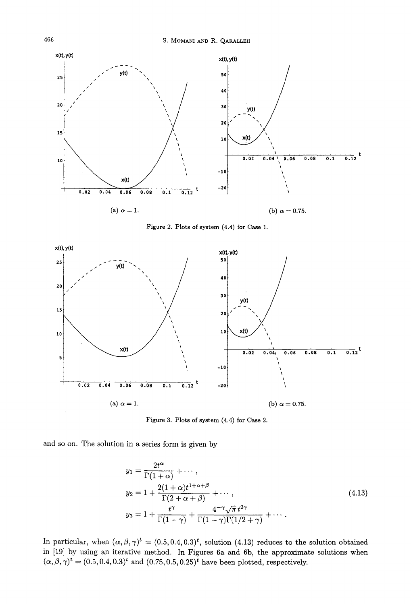

Figure 2. Plots of system (4.4) for Case 1.



Figure 3. Plots of system (4.4) for Case 2.

and so on. The solution in a series form is given by

$$
y_1 = \frac{2t^{\alpha}}{\Gamma(1+\alpha)} + \cdots,
$$
  
\n
$$
y_2 = 1 + \frac{2(1+\alpha)t^{1+\alpha+\beta}}{\Gamma(2+\alpha+\beta)} + \cdots,
$$
  
\n
$$
y_3 = 1 + \frac{t^{\gamma}}{\Gamma(1+\gamma)} + \frac{4^{-\gamma}\sqrt{\pi}t^{2\gamma}}{\Gamma(1+\gamma)\Gamma(1/2+\gamma)} + \cdots.
$$
\n(4.13)

In particular, when  $(\alpha, \beta, \gamma)^t = (0.5, 0.4, 0.3)^t$ , solution (4.13) reduces to the solution obtained in [19] by using an iterative method. In Figures 6a and 6b, the approximate solutions when  $(\alpha, \beta, \gamma)^t = (0.5, 0.4, 0.3)^t$  and  $(0.75, 0.5, 0.25)^t$  have been plotted, respectively.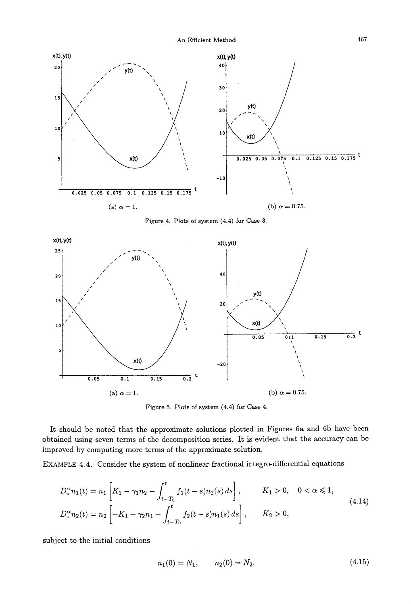

**Figure 4. Plots of system (4.4) for Case 3.** 



Figure 5. Plots of system (4.4) for Case 4.

It should be noted that the approximate solutions plotted in Figures 6a and 6b have been obtained using seven terms of the decomposition series. It is evident that the accuracy can be improved by computing more terms of the approximate solution.

EXAMPLE 4.4. Consider the system of nonlinear fractional integro-differential equations

$$
D_{\ast}^{\alpha} n_1(t) = n_1 \left[ K_1 - \gamma_1 n_2 - \int_{t - T_0}^t f_1(t - s) n_2(s) ds \right], \qquad K_1 > 0, \quad 0 < \alpha \le 1,
$$
  

$$
D_{\ast}^{\alpha} n_2(t) = n_2 \left[ -K_1 + \gamma_2 n_1 - \int_{t - T_0}^t f_2(t - s) n_1(s) ds \right], \qquad K_2 > 0,
$$
 (4.14)

subject to the initial conditions

$$
n_1(0) = N_1, \qquad n_2(0) = N_2. \tag{4.15}
$$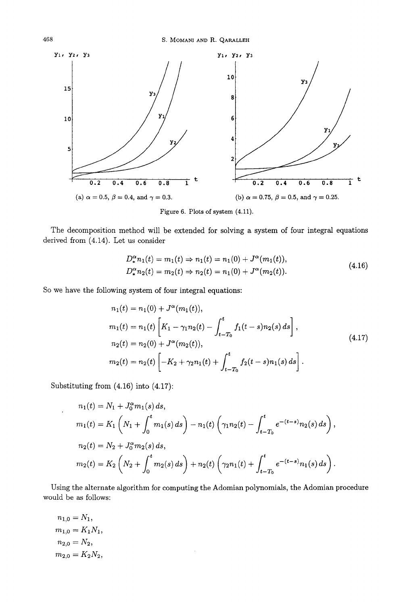468 S. MOMANI AND R. QARALLEH



Figure 6. Plots of system (4.11).

The decomposition method will be extended for solving a system of four integral equations derived from (4.14). Let us consider

$$
D_{\ast}^{\alpha} n_1(t) = m_1(t) \Rightarrow n_1(t) = n_1(0) + J^{\alpha}(m_1(t)),
$$
  
\n
$$
D_{\ast}^{\alpha} n_2(t) = m_2(t) \Rightarrow n_2(t) = n_1(0) + J^{\alpha}(m_2(t)).
$$
\n(4.16)

So we have the following system of four integral equations:

$$
n_1(t) = n_1(0) + J^{\alpha}(m_1(t)),
$$
  
\n
$$
m_1(t) = n_1(t) \left[ K_1 - \gamma_1 n_2(t) - \int_{t-T_0}^t f_1(t-s) n_2(s) ds \right],
$$
  
\n
$$
n_2(t) = n_2(0) + J^{\alpha}(m_2(t)),
$$
  
\n
$$
m_2(t) = n_2(t) \left[ -K_2 + \gamma_2 n_1(t) + \int_{t-T_0}^t f_2(t-s) n_1(s) ds \right].
$$
\n(4.17)

Substituting from (4.16) into (4.17):

$$
n_1(t) = N_1 + J_0^{\alpha} m_1(s) ds,
$$
  
\n
$$
m_1(t) = K_1 \left( N_1 + \int_0^t m_1(s) ds \right) - n_1(t) \left( \gamma_1 n_2(t) - \int_{t-T_0}^t e^{-(t-s)} n_2(s) ds \right),
$$
  
\n
$$
n_2(t) = N_2 + J_0^{\alpha} m_2(s) ds,
$$
  
\n
$$
m_2(t) = K_2 \left( N_2 + \int_0^t m_2(s) ds \right) + n_2(t) \left( \gamma_2 n_1(t) + \int_{t-T_0}^t e^{-(t-s)} n_1(s) ds \right).
$$

Using the alternate algorithm for computing the Adomian polynomials, the Adomian procedure would be as follows:

 $\overline{\phantom{a}}$ 

$$
n_{1,0} = N_1,
$$
  
\n
$$
m_{1,0} = K_1 N_1,
$$
  
\n
$$
n_{2,0} = N_2,
$$
  
\n
$$
m_{2,0} = K_2 N_2,
$$

 $\overline{1}$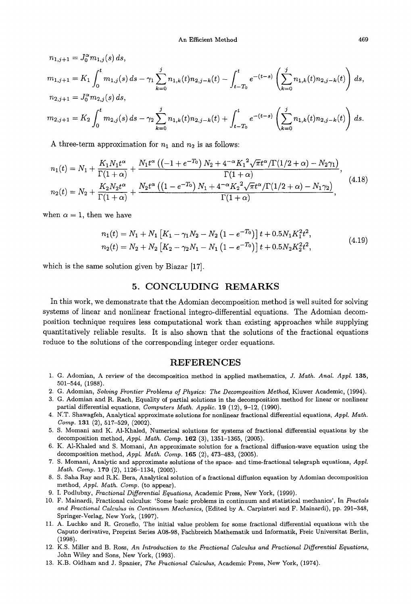$$
n_{1,j+1} = J_0^{\alpha} m_{1,j}(s) ds,
$$
  
\n
$$
m_{1,j+1} = K_1 \int_0^t m_{1,j}(s) ds - \gamma_1 \sum_{k=0}^j n_{1,k}(t) n_{2,j-k}(t) - \int_{t-T_0}^t e^{-(t-s)} \left( \sum_{k=0}^j n_{1,k}(t) n_{2,j-k}(t) \right) ds,
$$
  
\n
$$
n_{2,j+1} = J_0^{\alpha} m_{2,j}(s) ds,
$$
  
\n
$$
m_{2,j+1} = K_2 \int_0^t m_{2,j}(s) ds - \gamma_2 \sum_{k=0}^j n_{1,k}(t) n_{2,j-k}(t) + \int_{t-T_0}^t e^{-(t-s)} \left( \sum_{k=0}^j n_{1,k}(t) n_{2,j-k}(t) \right) ds.
$$

A three-term approximation for  $n_1$  and  $n_2$  is as follows:

$$
n_1(t) = N_1 + \frac{K_1 N_1 t^{\alpha}}{\Gamma(1+\alpha)} + \frac{N_1 t^{\alpha} \left( \left(-1 + e^{-T_0}\right) N_2 + 4^{-\alpha} K_1^2 \sqrt{\pi} t^{\alpha} / \Gamma(1/2+\alpha) - N_2 \gamma_1 \right)}{\Gamma(1+\alpha)},
$$
  
\n
$$
n_2(t) = N_2 + \frac{K_2 N_2 t^{\alpha}}{\Gamma(1+\alpha)} + \frac{N_2 t^{\alpha} \left( \left(1 - e^{-T_0}\right) N_1 + 4^{-\alpha} K_2^2 \sqrt{\pi} t^{\alpha} / \Gamma(1/2+\alpha) - N_1 \gamma_2 \right)}{\Gamma(1+\alpha)},
$$
\n(4.18)

when  $\alpha = 1$ , then we have

$$
n_1(t) = N_1 + N_1 \left[ K_1 - \gamma_1 N_2 - N_2 \left( 1 - e^{-T_0} \right) \right] t + 0.5 N_1 K_1^2 t^2,
$$
  
\n
$$
n_2(t) = N_2 + N_2 \left[ K_2 - \gamma_2 N_1 - N_1 \left( 1 - e^{-T_0} \right) \right] t + 0.5 N_2 K_2^2 t^2,
$$
\n
$$
(4.19)
$$

**which is the same solution given by Biazar [17].** 

### **5. CONCLUDING REMARKS**

**In this work, we demonstrate that the Adomian decomposition method is well suited for solving systems of linear and nonlinear fractional integro-differential equations. The Adomian decom**position technique requires less computational work than existing approaches while supplying **quantitatively reliable results. It is also shown that the solutions of the fractional equations reduce to the solutions of the corresponding integer order equations.** 

#### **REFERENCES**

- 1. G. Adomian, A review of the decomposition method in applied mathematics, *J. Math. Anal. Appl.* 135, 501-544, (1988).
- 2. G. Adomian, *Solving Frontier Problems of Physics: The Decomposition Method,* Kluwer Academic, (1994).
- 3. G. Adomian and R. Rach, Equality of partial solutions in the decomposition method for linear or nonlinear partial differential equations, *Computers Math. Applic.* 19 (12), 9-12, (1990).
- 4. N:T. Shawagfeh, Analytical approximate solutions for nonlinear fractional differential equations, *Appl. Math. Comp.* 131 (2), 517-529, (2002).
- 5. S. Momani and K. A1-Khaled, Numerical solutions for systems of fractional differential equations by the decomposition method, *Appl. Math. Comp.* 162 (3), 1351-1365, (2005).
- 6. K. A1-Khaled and S. Momani, An approximate solution for a fractional diffusion-wave equation using the decomposition method, *Appl. Math. Comp.* 165 (2), 473-483, (2005).
- 7. S. Momani, Analytic and approximate solutions of the space- and time-fractional telegraph equations, *Appl. Math. Comp.* 170 (2), 1126-1134, (2005).
- 8. S. Saha Ray and R.K. Bera, Analytical solution of a fractional diffusion equation by Adomian decomposition method, *Appl. Math. Comp.* (to appear).
- 9. I. Podlubuy, *Fractional Differential Equations,* Academic Press, New York, (1999).
- 10. F. Mainardi, Fractional calculus: 'Some basic problems in continuum and statistical mechanics', In *Fractals and Fractional Calculus in Continuum Mechanics,* (Edited by A. Carpinteri and F. Mainardi), pp. 291-348, Springer-Verlag, New York, (1997).
- 11. A. Luchko and R. Groneflo, The initial value problem for some fractional differential equations with the Caputo derivative, Preprint Series A08-98, Fachbreich Mathematik und Informatik, Freic Universitat Berlin, (1998).
- 12. K.S. Miller and B. Ross, *An Introduction to the Fractional Calculus and Fractional Differential Equations,*  John Wiley and Sons, New York, (1993).
- 13. K.B. Oldham and J. Spanier, *The Fractional Calculus,* Academic Press, New York, (1974).